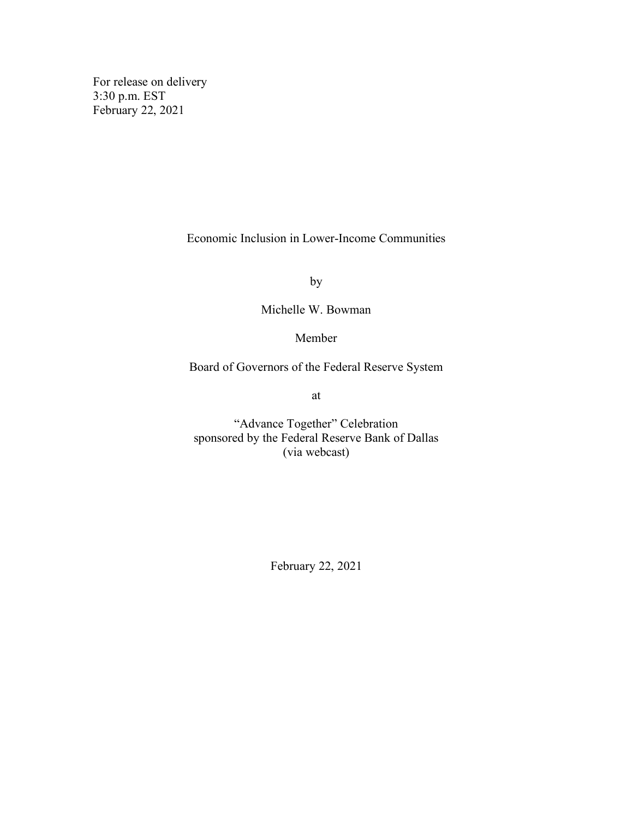For release on delivery 3:30 p.m. EST February 22, 2021

Economic Inclusion in Lower-Income Communities

by

Michelle W. Bowman

Member

Board of Governors of the Federal Reserve System

at

"Advance Together" Celebration sponsored by the Federal Reserve Bank of Dallas (via webcast)

February 22, 2021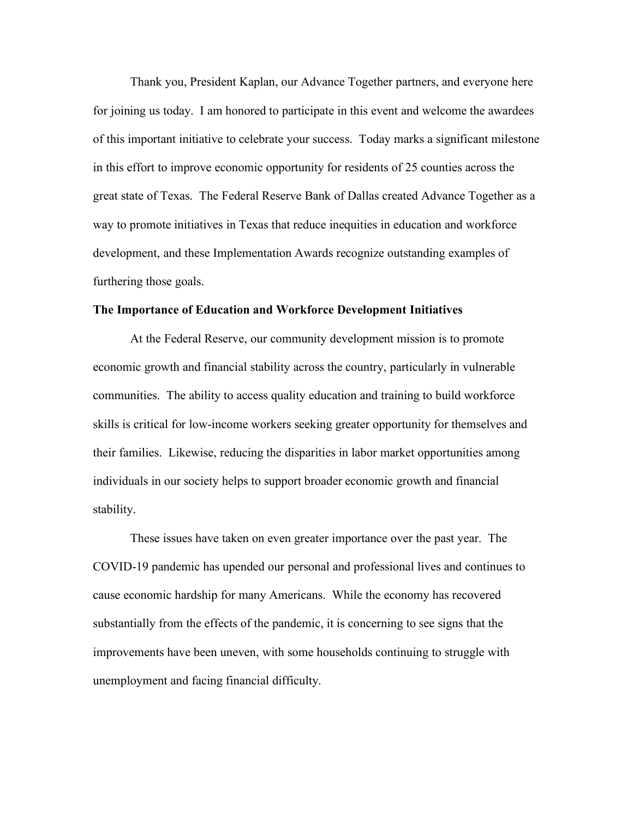Thank you, President Kaplan, our Advance Together partners, and everyone here for joining us today. I am honored to participate in this event and welcome the awardees of this important initiative to celebrate your success. Today marks a significant milestone in this effort to improve economic opportunity for residents of 25 counties across the great state of Texas. The Federal Reserve Bank of Dallas created Advance Together as a way to promote initiatives in Texas that reduce inequities in education and workforce development, and these Implementation Awards recognize outstanding examples of furthering those goals.

## **The Importance of Education and Workforce Development Initiatives**

At the Federal Reserve, our community development mission is to promote economic growth and financial stability across the country, particularly in vulnerable communities. The ability to access quality education and training to build workforce skills is critical for low-income workers seeking greater opportunity for themselves and their families. Likewise, reducing the disparities in labor market opportunities among individuals in our society helps to support broader economic growth and financial stability.

These issues have taken on even greater importance over the past year. The COVID-19 pandemic has upended our personal and professional lives and continues to cause economic hardship for many Americans. While the economy has recovered substantially from the effects of the pandemic, it is concerning to see signs that the improvements have been uneven, with some households continuing to struggle with unemployment and facing financial difficulty.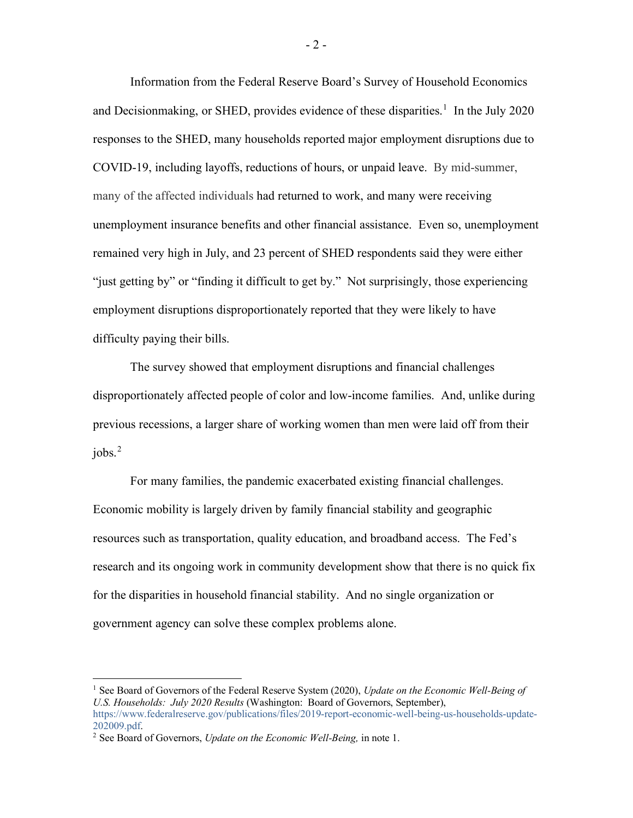Information from the Federal Reserve Board's Survey of Household Economics and Decisionmaking, or SHED, provides evidence of these disparities.<sup>[1](#page-2-0)</sup> In the July 2020 responses to the SHED, many households reported major employment disruptions due to COVID-19, including layoffs, reductions of hours, or unpaid leave. By mid-summer, many of the affected individuals had returned to work, and many were receiving unemployment insurance benefits and other financial assistance. Even so, unemployment remained very high in July, and 23 percent of SHED respondents said they were either "just getting by" or "finding it difficult to get by." Not surprisingly, those experiencing employment disruptions disproportionately reported that they were likely to have difficulty paying their bills.

The survey showed that employment disruptions and financial challenges disproportionately affected people of color and low-income families. And, unlike during previous recessions, a larger share of working women than men were laid off from their jobs. [2](#page-2-1)

For many families, the pandemic exacerbated existing financial challenges. Economic mobility is largely driven by family financial stability and geographic resources such as transportation, quality education, and broadband access. The Fed's research and its ongoing work in community development show that there is no quick fix for the disparities in household financial stability. And no single organization or government agency can solve these complex problems alone.

<span id="page-2-0"></span><sup>1</sup> See Board of Governors of the Federal Reserve System (2020), *Update on the Economic Well-Being of U.S. Households: July 2020 Results* (Washington: Board of Governors, September), [https://www.federalreserve.gov/publications/files/2019-report-economic-well-being-us-households-update-](https://www.federalreserve.gov/publications/files/2019-report-economic-well-being-us-households-update-202009.pdf)

<span id="page-2-1"></span><sup>&</sup>lt;sup>2</sup> See Board of Governors, *Update on the Economic Well-Being*, in note 1.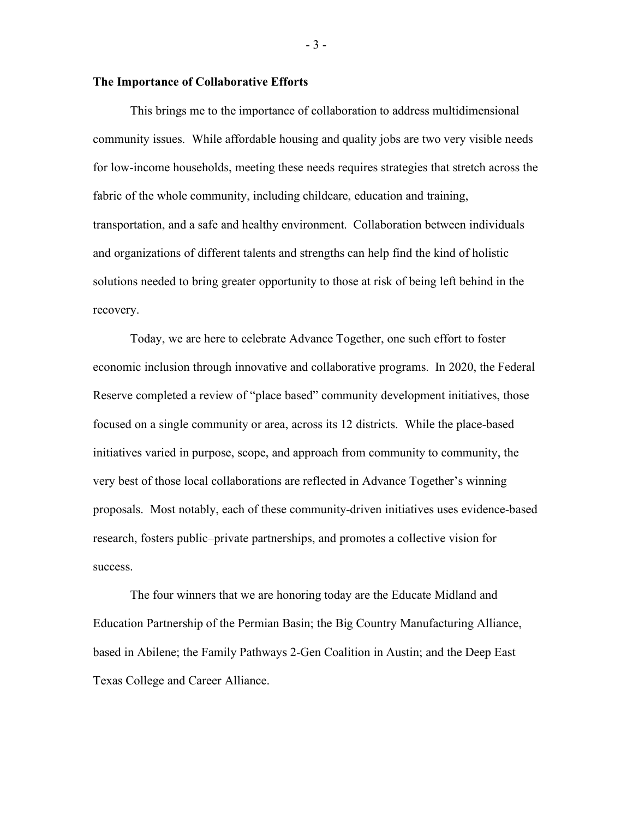## **The Importance of Collaborative Efforts**

This brings me to the importance of collaboration to address multidimensional community issues. While affordable housing and quality jobs are two very visible needs for low-income households, meeting these needs requires strategies that stretch across the fabric of the whole community, including childcare, education and training, transportation, and a safe and healthy environment. Collaboration between individuals and organizations of different talents and strengths can help find the kind of holistic solutions needed to bring greater opportunity to those at risk of being left behind in the recovery.

Today, we are here to celebrate Advance Together, one such effort to foster economic inclusion through innovative and collaborative programs. In 2020, the Federal Reserve completed a review of "place based" community development initiatives, those focused on a single community or area, across its 12 districts. While the place-based initiatives varied in purpose, scope, and approach from community to community, the very best of those local collaborations are reflected in Advance Together's winning proposals. Most notably, each of these community-driven initiatives uses evidence-based research, fosters public–private partnerships, and promotes a collective vision for success.

The four winners that we are honoring today are the Educate Midland and Education Partnership of the Permian Basin; the Big Country Manufacturing Alliance, based in Abilene; the Family Pathways 2-Gen Coalition in Austin; and the Deep East Texas College and Career Alliance.

- 3 -